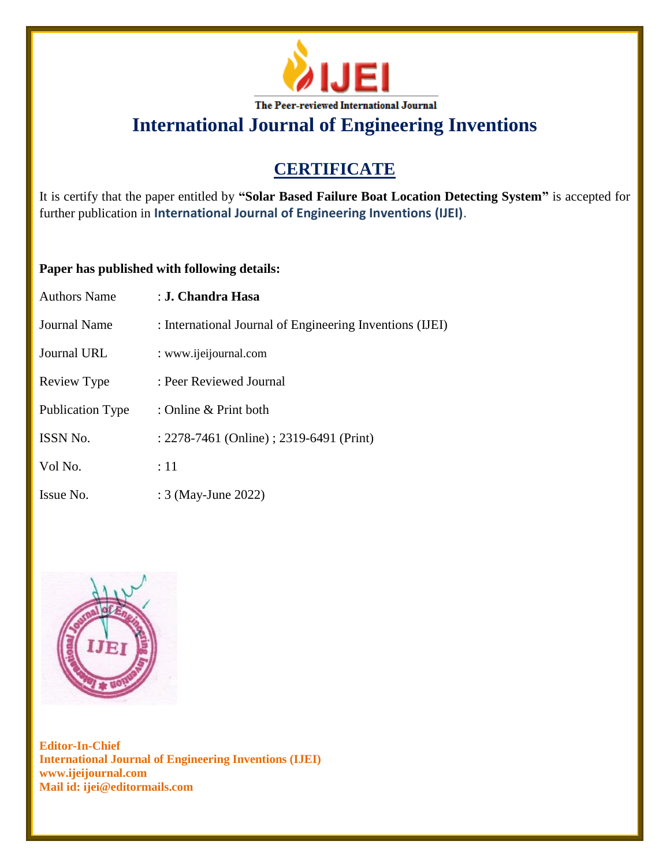

# **CERTIFICATE**

It is certify that the paper entitled by **"Solar Based Failure Boat Location Detecting System"** is accepted for further publication in **International Journal of Engineering Inventions (IJEI)**.

## **Paper has published with following details:**

| <b>Authors Name</b>     | : J. Chandra Hasa                                        |
|-------------------------|----------------------------------------------------------|
| <b>Journal Name</b>     | : International Journal of Engineering Inventions (IJEI) |
| Journal URL             | : www.ijeijournal.com                                    |
| Review Type             | : Peer Reviewed Journal                                  |
| <b>Publication Type</b> | : Online & Print both                                    |
| <b>ISSN No.</b>         | : 2278-7461 (Online) ; 2319-6491 (Print)                 |
| Vol No.                 | :11                                                      |
| Issue No.               | : 3 (May-June 2022)                                      |

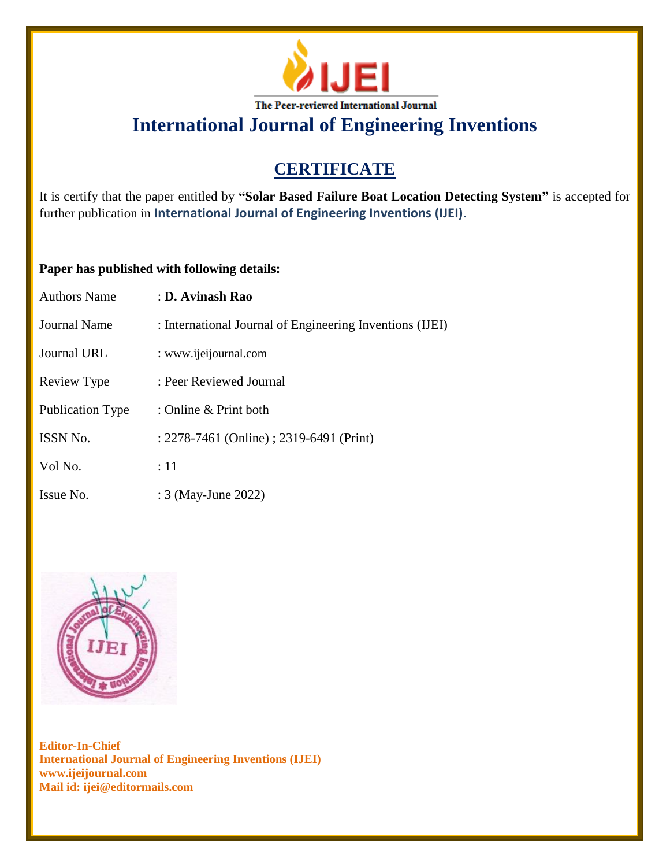

# **CERTIFICATE**

It is certify that the paper entitled by **"Solar Based Failure Boat Location Detecting System"** is accepted for further publication in **International Journal of Engineering Inventions (IJEI)**.

## **Paper has published with following details:**

| <b>Authors Name</b>     | : D. Avinash Rao                                         |
|-------------------------|----------------------------------------------------------|
| Journal Name            | : International Journal of Engineering Inventions (IJEI) |
| <b>Journal URL</b>      | : www.ijeijournal.com                                    |
| Review Type             | : Peer Reviewed Journal                                  |
| <b>Publication Type</b> | : Online & Print both                                    |
| <b>ISSN No.</b>         | : 2278-7461 (Online) ; 2319-6491 (Print)                 |
| Vol No.                 | :11                                                      |
| Issue No.               | : 3 (May-June 2022)                                      |

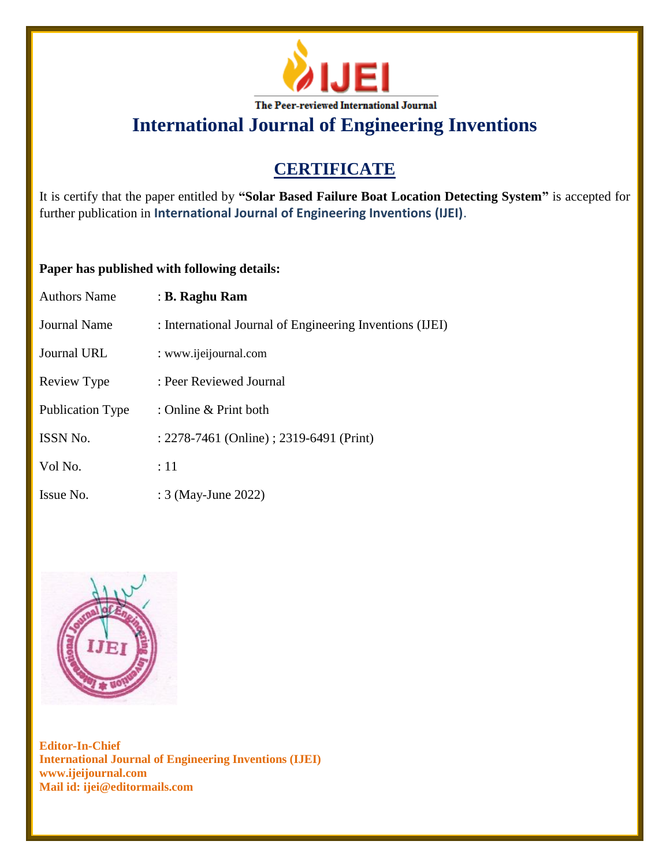

# **CERTIFICATE**

It is certify that the paper entitled by **"Solar Based Failure Boat Location Detecting System"** is accepted for further publication in **International Journal of Engineering Inventions (IJEI)**.

## **Paper has published with following details:**

| Authors Name            | : B. Raghu Ram                                           |
|-------------------------|----------------------------------------------------------|
| Journal Name            | : International Journal of Engineering Inventions (IJEI) |
| Journal URL             | : www.ijeijournal.com                                    |
| Review Type             | : Peer Reviewed Journal                                  |
| <b>Publication Type</b> | : Online & Print both                                    |
| <b>ISSN No.</b>         | : 2278-7461 (Online) ; 2319-6491 (Print)                 |
| Vol No.                 | :11                                                      |
| Issue No.               | : 3 (May-June 2022)                                      |

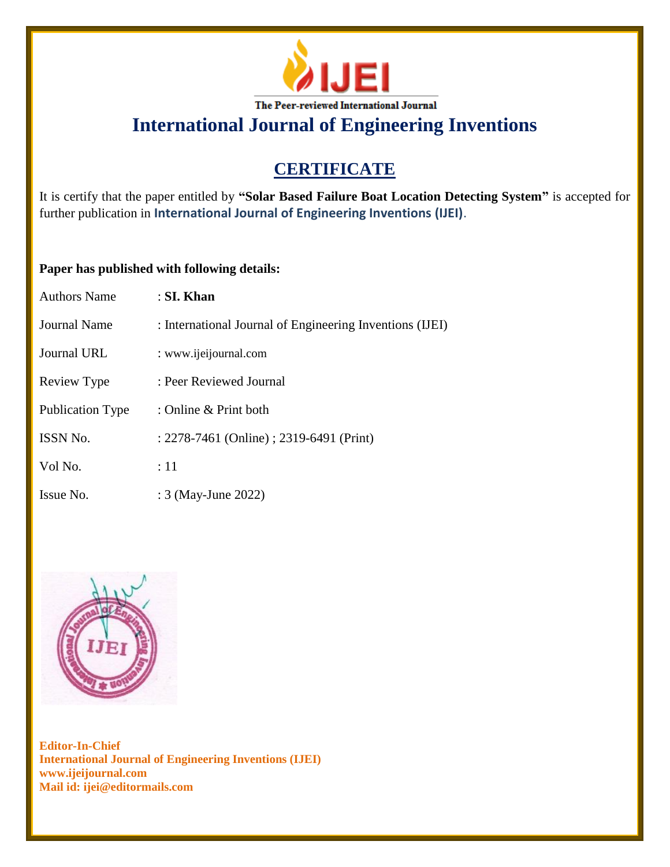

# **CERTIFICATE**

It is certify that the paper entitled by **"Solar Based Failure Boat Location Detecting System"** is accepted for further publication in **International Journal of Engineering Inventions (IJEI)**.

## **Paper has published with following details:**

| <b>Authors Name</b>     | : SI. Khan                                               |
|-------------------------|----------------------------------------------------------|
| Journal Name            | : International Journal of Engineering Inventions (IJEI) |
| <b>Journal URL</b>      | : www.ijeijournal.com                                    |
| Review Type             | : Peer Reviewed Journal                                  |
| <b>Publication Type</b> | : Online & Print both                                    |
| ISSN No.                | : 2278-7461 (Online) ; 2319-6491 (Print)                 |
| Vol No.                 | $\therefore$ 11                                          |
| Issue No.               | : 3 (May-June 2022)                                      |